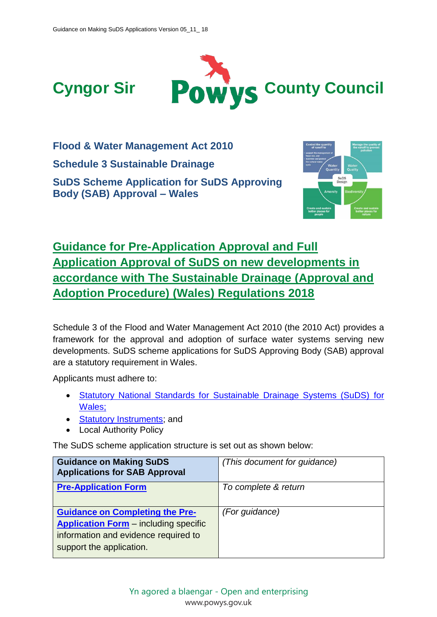

**Flood & Water Management Act 2010 Schedule 3 Sustainable Drainage SuDS Scheme Application for SuDS Approving Body (SAB) Approval – Wales**



## **Guidance for Pre-Application Approval and Full Application Approval of SuDS on new developments in accordance with The Sustainable Drainage (Approval and Adoption Procedure) (Wales) Regulations 2018**

Schedule 3 of the Flood and Water Management Act 2010 (the 2010 Act) provides a framework for the approval and adoption of surface water systems serving new developments. SuDS scheme applications for SuDS Approving Body (SAB) approval are a statutory requirement in Wales.

Applicants must adhere to:

- [Statutory National Standards for Sustainable Drainage Systems \(SuDS\)](https://gov.wales/docs/desh/publications/181015-suds-statutory-standards-en.pdf) for [Wales;](https://gov.wales/docs/desh/publications/181015-suds-statutory-standards-en.pdf)
- [Statutory Instruments;](https://gov.wales/topics/environmentcountryside/epq/flooding/drainage/?lang=en) and
- Local Authority Policy

The SuDS scheme application structure is set out as shown below:

| <b>Guidance on Making SuDS</b><br><b>Applications for SAB Approval</b>                                                                                     | (This document for guidance) |
|------------------------------------------------------------------------------------------------------------------------------------------------------------|------------------------------|
| <b>Pre-Application Form</b>                                                                                                                                | To complete & return         |
| <b>Guidance on Completing the Pre-</b><br><b>Application Form</b> – including specific<br>information and evidence required to<br>support the application. | (For guidance)               |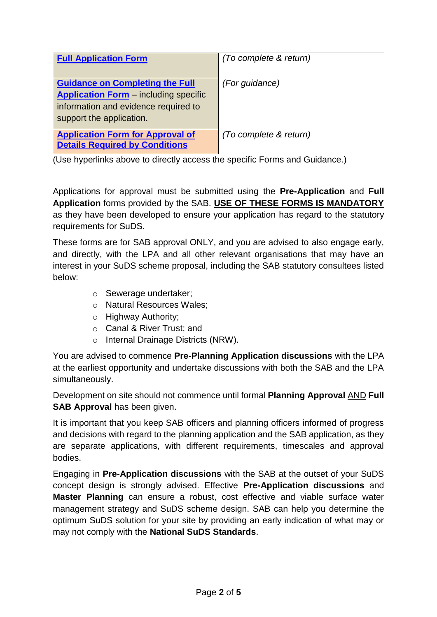| <b>Full Application Form</b>                 | (To complete & return) |
|----------------------------------------------|------------------------|
| <b>Guidance on Completing the Full</b>       | (For guidance)         |
| <b>Application Form</b> – including specific |                        |
| information and evidence required to         |                        |
| support the application.                     |                        |
| <b>Application Form for Approval of</b>      | (To complete & return) |
| <b>Details Required by Conditions</b>        |                        |

(Use hyperlinks above to directly access the specific Forms and Guidance.)

Applications for approval must be submitted using the **Pre-Application** and **Full Application** forms provided by the SAB. **USE OF THESE FORMS IS MANDATORY** as they have been developed to ensure your application has regard to the statutory requirements for SuDS.

These forms are for SAB approval ONLY, and you are advised to also engage early, and directly, with the LPA and all other relevant organisations that may have an interest in your SuDS scheme proposal, including the SAB statutory consultees listed below:

- o Sewerage undertaker;
- o Natural Resources Wales;
- o Highway Authority;
- o Canal & River Trust; and
- o Internal Drainage Districts (NRW).

You are advised to commence **Pre-Planning Application discussions** with the LPA at the earliest opportunity and undertake discussions with both the SAB and the LPA simultaneously.

Development on site should not commence until formal **Planning Approval** AND **Full SAB Approval** has been given.

It is important that you keep SAB officers and planning officers informed of progress and decisions with regard to the planning application and the SAB application, as they are separate applications, with different requirements, timescales and approval bodies.

Engaging in **Pre-Application discussions** with the SAB at the outset of your SuDS concept design is strongly advised. Effective **Pre-Application discussions** and **Master Planning** can ensure a robust, cost effective and viable surface water management strategy and SuDS scheme design. SAB can help you determine the optimum SuDS solution for your site by providing an early indication of what may or may not comply with the **National SuDS Standards**.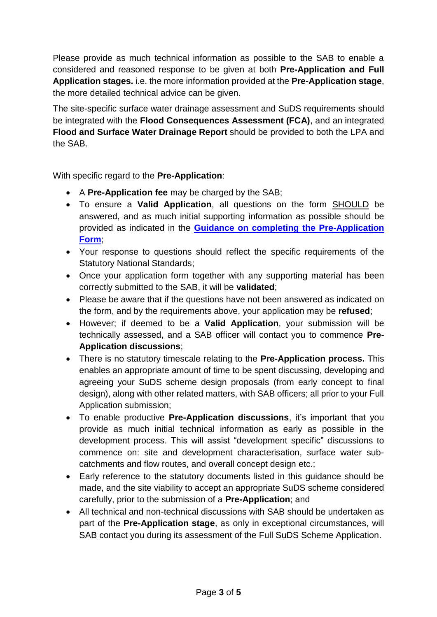Please provide as much technical information as possible to the SAB to enable a considered and reasoned response to be given at both **Pre-Application and Full Application stages.** i.e. the more information provided at the **Pre-Application stage**, the more detailed technical advice can be given.

The site-specific surface water drainage assessment and SuDS requirements should be integrated with the **Flood Consequences Assessment (FCA)**, and an integrated **Flood and Surface Water Drainage Report** should be provided to both the LPA and the SAB.

With specific regard to the **Pre-Application**:

- A **Pre-Application fee** may be charged by the SAB;
- To ensure a **Valid Application**, all questions on the form SHOULD be answered, and as much initial supporting information as possible should be provided as indicated in the **[Guidance on completing the Pre-Application](file://///powyscc.local/group/HighMan/Land%20Drainage/Land%20Drainage%20&%20Flooding/Floods%20and%20Water%20Act%202010/SAB/Application%20Forms/Pre-App%20Form%20FINAL%20Version%2005_11_18.docx)  [Form](file://///powyscc.local/group/HighMan/Land%20Drainage/Land%20Drainage%20&%20Flooding/Floods%20and%20Water%20Act%202010/SAB/Application%20Forms/Pre-App%20Form%20FINAL%20Version%2005_11_18.docx)**;
- Your response to questions should reflect the specific requirements of the Statutory National Standards;
- Once your application form together with any supporting material has been correctly submitted to the SAB, it will be **validated**;
- Please be aware that if the questions have not been answered as indicated on the form, and by the requirements above, your application may be **refused**;
- However; if deemed to be a **Valid Application**, your submission will be technically assessed, and a SAB officer will contact you to commence **Pre-Application discussions**;
- There is no statutory timescale relating to the **Pre-Application process.** This enables an appropriate amount of time to be spent discussing, developing and agreeing your SuDS scheme design proposals (from early concept to final design), along with other related matters, with SAB officers; all prior to your Full Application submission;
- To enable productive **Pre-Application discussions**, it's important that you provide as much initial technical information as early as possible in the development process. This will assist "development specific" discussions to commence on: site and development characterisation, surface water subcatchments and flow routes, and overall concept design etc.;
- Early reference to the statutory documents listed in this guidance should be made, and the site viability to accept an appropriate SuDS scheme considered carefully, prior to the submission of a **Pre-Application**; and
- All technical and non-technical discussions with SAB should be undertaken as part of the **Pre-Application stage**, as only in exceptional circumstances, will SAB contact you during its assessment of the Full SuDS Scheme Application.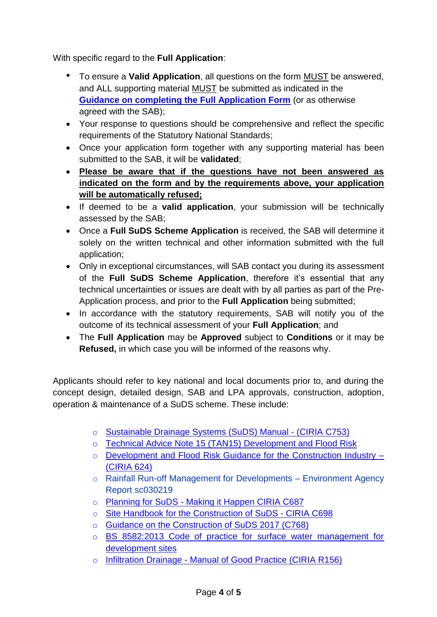With specific regard to the **Full Application**:

- To ensure a **Valid Application**, all questions on the form MUST be answered, and ALL supporting material MUST be submitted as indicated in the **[Guidance on completing the Full Application Form](file://///powyscc.local/group/HighMan/Land%20Drainage/Land%20Drainage%20&%20Flooding/Floods%20and%20Water%20Act%202010/SAB/Application%20Forms/Full%20App%20Form%20FINAL%20Version%2005_11_18.docx)** (or as otherwise agreed with the SAB);
- Your response to questions should be comprehensive and reflect the specific requirements of the Statutory National Standards;
- Once your application form together with any supporting material has been submitted to the SAB, it will be **validated**;
- **Please be aware that if the questions have not been answered as indicated on the form and by the requirements above, your application will be automatically refused;**
- If deemed to be a **valid application**, your submission will be technically assessed by the SAB;
- Once a **Full SuDS Scheme Application** is received, the SAB will determine it solely on the written technical and other information submitted with the full application;
- Only in exceptional circumstances, will SAB contact you during its assessment of the **Full SuDS Scheme Application**, therefore it's essential that any technical uncertainties or issues are dealt with by all parties as part of the Pre-Application process, and prior to the **Full Application** being submitted;
- In accordance with the statutory requirements, SAB will notify you of the outcome of its technical assessment of your **Full Application**; and
- The **Full Application** may be **Approved** subject to **Conditions** or it may be **Refused,** in which case you will be informed of the reasons why.

Applicants should refer to key national and local documents prior to, and during the concept design, detailed design, SAB and LPA approvals, construction, adoption, operation & maintenance of a SuDS scheme. These include:

- o [Sustainable Drainage Systems \(SuDS\) Manual -](https://www.ciria.org/Resources/Free_publications/SuDS_manual_C753.aspx) (CIRIA C753)
- o [Technical Advice Note 15 \(TAN15\) Development and Flood Risk](https://gov.wales/topics/planning/policy/tans/tan15/?lang=en)
- o [Development and Flood Risk Guidance for the Construction Industry –](https://www.ciria.org/ProductExcerpts/C624.aspx) [\(CIRIA 624\)](https://www.ciria.org/ProductExcerpts/C624.aspx)
- o Rainfall Run-off Management for Developments Environment Agency Report sc030219
- o Planning for SuDS [Making it Happen CIRIA C687](https://www.ciria.org/Resources/Free_publications/Planning_for_SuDS_ma.aspx)
- o [Site Handbook for the Construction of SuDS -](https://www.ciria.org/Resources/Free_publications/site_handbook_SuDS.aspx) CIRIA C698
- o [Guidance on the Construction of SuDS 2017 \(C768\)](https://www.ciria.org/Resources/Free_publications/Guidance_on_the_construction_of_SuDS_-_C768.aspx)
- o [BS 8582:2013 Code of practice for surface water management for](https://shop.bsigroup.com/ProductDetail/?pid=000000000030253266)  [development sites](https://shop.bsigroup.com/ProductDetail/?pid=000000000030253266)
- o Infiltration Drainage [Manual of Good Practice \(CIRIA R156\)](https://www.ciria.org/Search?SearchTerms=R156)